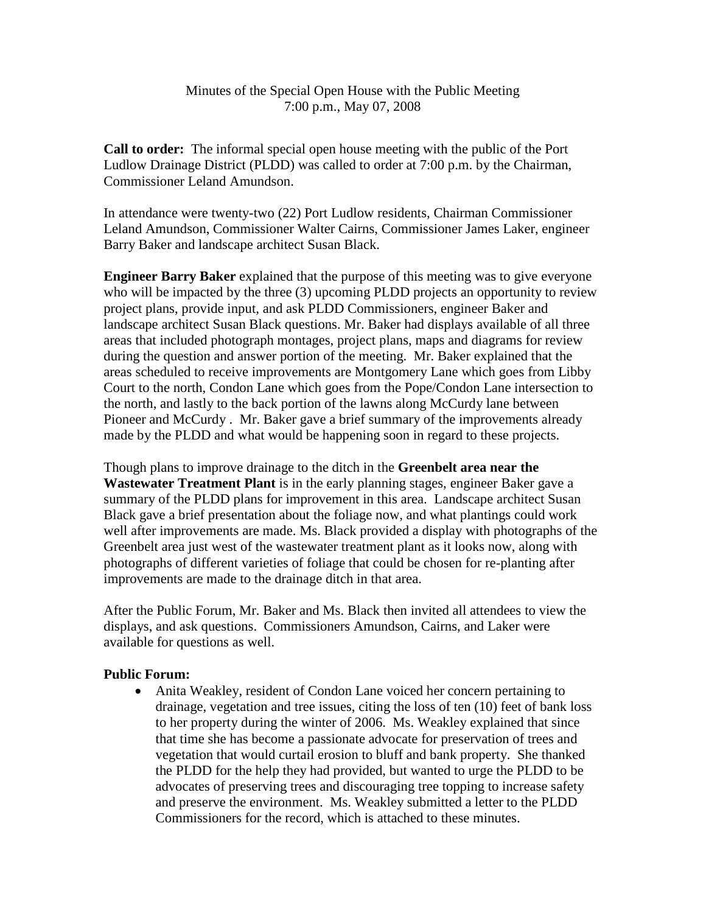## Minutes of the Special Open House with the Public Meeting 7:00 p.m., May 07, 2008

**Call to order:** The informal special open house meeting with the public of the Port Ludlow Drainage District (PLDD) was called to order at 7:00 p.m. by the Chairman, Commissioner Leland Amundson.

In attendance were twenty-two (22) Port Ludlow residents, Chairman Commissioner Leland Amundson, Commissioner Walter Cairns, Commissioner James Laker, engineer Barry Baker and landscape architect Susan Black.

**Engineer Barry Baker** explained that the purpose of this meeting was to give everyone who will be impacted by the three (3) upcoming PLDD projects an opportunity to review project plans, provide input, and ask PLDD Commissioners, engineer Baker and landscape architect Susan Black questions. Mr. Baker had displays available of all three areas that included photograph montages, project plans, maps and diagrams for review during the question and answer portion of the meeting. Mr. Baker explained that the areas scheduled to receive improvements are Montgomery Lane which goes from Libby Court to the north, Condon Lane which goes from the Pope/Condon Lane intersection to the north, and lastly to the back portion of the lawns along McCurdy lane between Pioneer and McCurdy . Mr. Baker gave a brief summary of the improvements already made by the PLDD and what would be happening soon in regard to these projects.

Though plans to improve drainage to the ditch in the **Greenbelt area near the Wastewater Treatment Plant** is in the early planning stages, engineer Baker gave a summary of the PLDD plans for improvement in this area. Landscape architect Susan Black gave a brief presentation about the foliage now, and what plantings could work well after improvements are made. Ms. Black provided a display with photographs of the Greenbelt area just west of the wastewater treatment plant as it looks now, along with photographs of different varieties of foliage that could be chosen for re-planting after improvements are made to the drainage ditch in that area.

After the Public Forum, Mr. Baker and Ms. Black then invited all attendees to view the displays, and ask questions. Commissioners Amundson, Cairns, and Laker were available for questions as well.

## **Public Forum:**

• Anita Weakley, resident of Condon Lane voiced her concern pertaining to drainage, vegetation and tree issues, citing the loss of ten (10) feet of bank loss to her property during the winter of 2006. Ms. Weakley explained that since that time she has become a passionate advocate for preservation of trees and vegetation that would curtail erosion to bluff and bank property. She thanked the PLDD for the help they had provided, but wanted to urge the PLDD to be advocates of preserving trees and discouraging tree topping to increase safety and preserve the environment. Ms. Weakley submitted a letter to the PLDD Commissioners for the record, which is attached to these minutes.